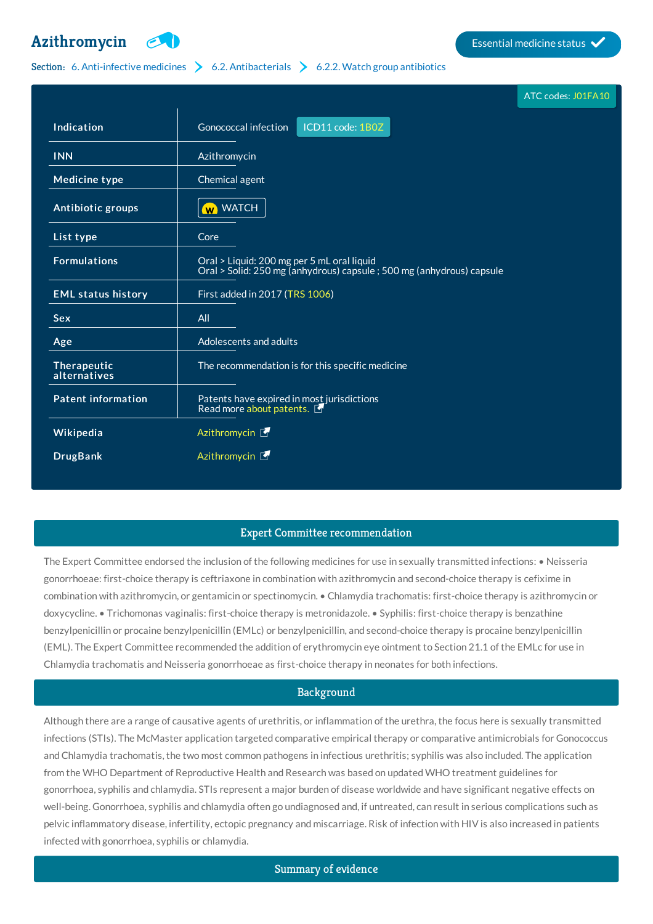# **[Azithromycin](http://list.essentialmeds.org/medicines/227) Example 3** Essential medicine status



# Section: 6. [Anti-infective](http://list.essentialmeds.org/?section=332) medicines  $\geq 6.2$ . [Antibacterials](http://list.essentialmeds.org/?section=337)  $\geq 6.2.2$ . Watch group [antibiotics](http://list.essentialmeds.org/?section=339)

|                             |                                                                                                                     | ATC codes: J01FA10 |
|-----------------------------|---------------------------------------------------------------------------------------------------------------------|--------------------|
| Indication                  | Gonococcal infection<br>ICD11 code: 1B0Z                                                                            |                    |
| <b>INN</b>                  | Azithromycin                                                                                                        |                    |
| <b>Medicine type</b>        | Chemical agent                                                                                                      |                    |
| Antibiotic groups           | <b>W</b> WATCH                                                                                                      |                    |
| List type                   | Core                                                                                                                |                    |
| <b>Formulations</b>         | Oral > Liquid: 200 mg per 5 mL oral liquid<br>Oral > Solid: 250 mg (anhydrous) capsule ; 500 mg (anhydrous) capsule |                    |
| <b>EML status history</b>   | First added in 2017 (TRS 1006)                                                                                      |                    |
| <b>Sex</b>                  | All                                                                                                                 |                    |
| Age                         | Adolescents and adults                                                                                              |                    |
| Therapeutic<br>alternatives | The recommendation is for this specific medicine                                                                    |                    |
| <b>Patent information</b>   | Patents have expired in most jurisdictions<br>Read more about patents.                                              |                    |
| Wikipedia                   | Azithromycin L                                                                                                      |                    |
| <b>DrugBank</b>             | Azithromycin <b>F</b>                                                                                               |                    |
|                             |                                                                                                                     |                    |

# Expert Committee recommendation

The Expert Committee endorsed the inclusion of the following medicines for use in sexually transmitted infections: • Neisseria gonorrhoeae: first-choice therapy is ceftriaxone in combination with azithromycin and second-choice therapy is cefixime in combination with azithromycin, or gentamicin or spectinomycin. • Chlamydia trachomatis: first-choice therapy is azithromycin or doxycycline. • Trichomonas vaginalis: first-choice therapy is metronidazole. • Syphilis: first-choice therapy is benzathine benzylpenicillin or procaine benzylpenicillin (EMLc) or benzylpenicillin, and second-choice therapy is procaine benzylpenicillin (EML). The Expert Committee recommended the addition of erythromycin eye ointment to Section 21.1 of the EMLc for use in Chlamydia trachomatis and Neisseria gonorrhoeae as first-choice therapy in neonates for both infections.

# Background

Although there are a range of causative agents of urethritis, or inflammation of the urethra, the focus here is sexually transmitted infections (STIs). The McMaster application targeted comparative empirical therapy or comparative antimicrobials for Gonococcus and Chlamydia trachomatis, the two most common pathogens in infectious urethritis; syphilis was also included. The application from the WHO Department of Reproductive Health and Research was based on updated WHO treatment guidelines for gonorrhoea, syphilis and chlamydia. STIs represent a major burden of disease worldwide and have significant negative effects on well-being. Gonorrhoea, syphilis and chlamydia often go undiagnosed and, if untreated, can result in serious complications such as pelvic inflammatory disease, infertility, ectopic pregnancy and miscarriage. Risk of infection with HIV is also increased in patients infected with gonorrhoea, syphilis or chlamydia.

Summary of evidence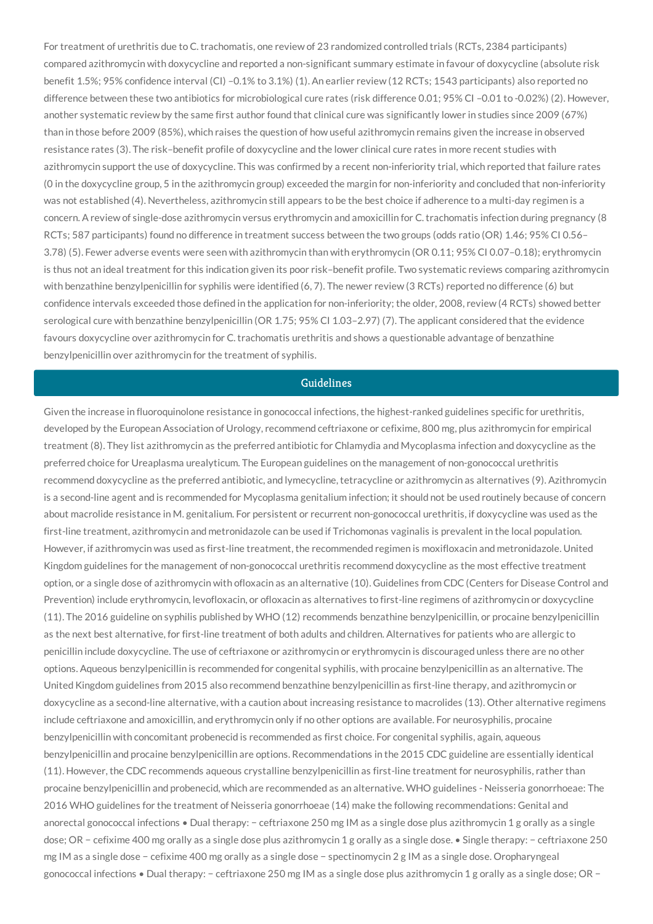For treatment of urethritis due to C. trachomatis, one review of 23 randomized controlled trials (RCTs, 2384 participants) compared azithromycin with doxycycline and reported a non-significant summary estimate in favour of doxycycline (absolute risk benefit 1.5%; 95% confidence interval (CI) –0.1% to 3.1%) (1). An earlier review (12 RCTs; 1543 participants) also reported no difference between these two antibiotics for microbiological cure rates (risk difference 0.01; 95% CI-0.01 to -0.02%) (2). However, another systematic review by the same first author found that clinical cure was significantly lower in studies since 2009 (67%) than in those before 2009 (85%), which raises the question of how useful azithromycin remains given the increase in observed resistance rates (3). The risk–benefit profile of doxycycline and the lower clinical cure rates in more recent studies with azithromycin support the use of doxycycline. This was confirmed by a recent non-inferiority trial, which reported that failure rates (0 in the doxycycline group, 5 in the azithromycin group) exceeded the margin for non-inferiority and concluded that non-inferiority was not established (4). Nevertheless, azithromycin still appears to be the best choice if adherence to a multi-day regimen is a concern. A review of single-dose azithromycin versus erythromycin and amoxicillin for C. trachomatis infection during pregnancy (8 RCTs; 587 participants) found no difference in treatment success between the two groups (odds ratio (OR) 1.46; 95% CI 0.56– 3.78) (5). Fewer adverse events were seen with azithromycin than with erythromycin (OR 0.11; 95% CI 0.07–0.18); erythromycin is thus not an ideal treatment for this indication given its poor risk–benefit profile. Two systematic reviews comparing azithromycin with benzathine benzylpenicillin for syphilis were identified (6, 7). The newer review (3 RCTs) reported no difference (6) but confidence intervals exceeded those defined in the application for non-inferiority; the older, 2008, review (4 RCTs) showed better serological cure with benzathine benzylpenicillin (OR 1.75; 95% CI 1.03–2.97) (7). The applicant considered that the evidence favours doxycycline over azithromycin for C. trachomatis urethritis and shows a questionable advantage of benzathine benzylpenicillin over azithromycin for the treatment of syphilis.

### Guidelines

Given the increase in fluoroquinolone resistance in gonococcal infections, the highest-ranked guidelines specific for urethritis, developed by the European Association of Urology, recommend ceftriaxone or cefixime, 800 mg, plus azithromycin for empirical treatment (8). They list azithromycin as the preferred antibiotic for Chlamydia and Mycoplasma infection and doxycycline as the preferred choice for Ureaplasma urealyticum. The European guidelines on the management of non-gonococcal urethritis recommend doxycycline as the preferred antibiotic, and lymecycline, tetracycline or azithromycin as alternatives (9). Azithromycin is a second-line agent and is recommended for Mycoplasma genitalium infection; it should not be used routinely because of concern about macrolide resistance in M. genitalium. For persistent or recurrent non-gonococcal urethritis, if doxycycline was used as the first-line treatment, azithromycin and metronidazole can be used if Trichomonas vaginalis is prevalent in the local population. However, if azithromycin was used as first-line treatment, the recommended regimen is moxifloxacin and metronidazole. United Kingdom guidelines for the management of non-gonococcal urethritis recommend doxycycline as the most effective treatment option, or a single dose of azithromycin with ofloxacin as an alternative (10). Guidelines from CDC (Centers for Disease Control and Prevention) include erythromycin, levofloxacin, or ofloxacin as alternatives to first-line regimens of azithromycin or doxycycline (11). The 2016 guideline on syphilis published by WHO (12) recommends benzathine benzylpenicillin, or procaine benzylpenicillin as the next best alternative, for first-line treatment of both adults and children. Alternatives for patients who are allergic to penicillin include doxycycline. The use of ceftriaxone or azithromycin or erythromycin is discouraged unless there are no other options. Aqueous benzylpenicillin is recommended for congenital syphilis, with procaine benzylpenicillin as an alternative. The United Kingdom guidelines from 2015 also recommend benzathine benzylpenicillin as first-line therapy, and azithromycin or doxycycline as a second-line alternative, with a caution about increasing resistance to macrolides (13). Other alternative regimens include ceftriaxone and amoxicillin, and erythromycin only if no other options are available. For neurosyphilis, procaine benzylpenicillin with concomitant probenecid is recommended as first choice. For congenital syphilis, again, aqueous benzylpenicillin and procaine benzylpenicillin are options. Recommendations in the 2015 CDC guideline are essentially identical (11). However, the CDC recommends aqueous crystalline benzylpenicillin as first-line treatment for neurosyphilis, rather than procaine benzylpenicillin and probenecid, which are recommended as an alternative. WHO guidelines - Neisseria gonorrhoeae: The 2016 WHO guidelines for the treatment of Neisseria gonorrhoeae (14) make the following recommendations: Genital and anorectal gonococcal infections • Dual therapy: − ceftriaxone 250 mg IM as a single dose plus azithromycin 1 g orally as a single dose; OR − cefixime 400 mg orally as a single dose plus azithromycin 1 g orally as a single dose. • Single therapy: − ceftriaxone 250 mg IM as a single dose − cefixime 400 mg orally as a single dose − spectinomycin 2 g IM as a single dose. Oropharyngeal gonococcal infections • Dual therapy: − ceftriaxone 250 mg IM as a single dose plus azithromycin 1 g orally as a single dose; OR −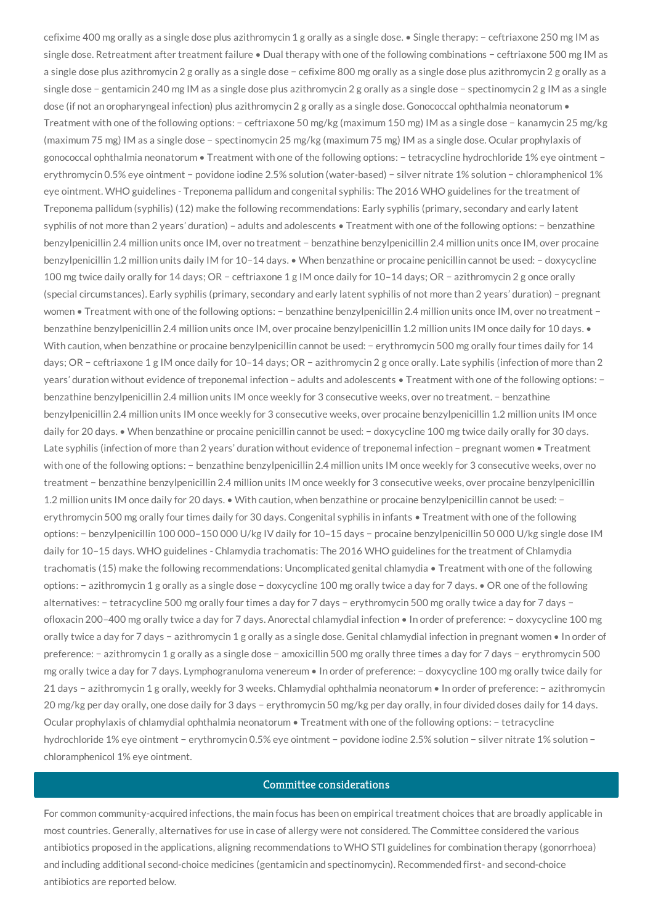cefixime 400 mg orally as a single dose plus azithromycin 1 g orally as a single dose. • Single therapy: − ceftriaxone 250 mg IM as single dose. Retreatment after treatment failure • Dual therapy with one of the following combinations − ceftriaxone 500 mg IM as a single dose plus azithromycin 2 g orally as a single dose − cefixime 800 mg orally as a single dose plus azithromycin 2 g orally as a single dose − gentamicin 240 mg IM as a single dose plus azithromycin 2 g orally as a single dose − spectinomycin 2 g IM as a single dose (if not an oropharyngeal infection) plus azithromycin 2 g orally as a single dose. Gonococcal ophthalmia neonatorum • Treatment with one of the following options: − ceftriaxone 50 mg/kg (maximum 150 mg) IM as a single dose − kanamycin 25 mg/kg (maximum 75 mg) IM as a single dose − spectinomycin 25 mg/kg (maximum 75 mg) IM as a single dose. Ocular prophylaxis of gonococcal ophthalmia neonatorum • Treatment with one of the following options: − tetracycline hydrochloride 1% eye ointment − erythromycin 0.5% eye ointment − povidone iodine 2.5% solution (water-based) − silver nitrate 1% solution − chloramphenicol 1% eye ointment. WHO guidelines - Treponema pallidum and congenital syphilis: The 2016 WHO guidelines for the treatment of Treponema pallidum (syphilis) (12) make the following recommendations: Early syphilis (primary, secondary and early latent syphilis of not more than 2 years' duration) – adults and adolescents • Treatment with one of the following options: − benzathine benzylpenicillin 2.4 million units once IM, over no treatment − benzathine benzylpenicillin 2.4 million units once IM, over procaine benzylpenicillin 1.2 million units daily IM for 10–14 days. • When benzathine or procaine penicillin cannot be used: − doxycycline 100 mg twice daily orally for 14 days; OR − ceftriaxone 1 g IM once daily for 10–14 days; OR − azithromycin 2 g once orally (special circumstances). Early syphilis (primary, secondary and early latent syphilis of not more than 2 years' duration) – pregnant women • Treatment with one of the following options: − benzathine benzylpenicillin 2.4 million units once IM, over no treatment − benzathine benzylpenicillin 2.4 million units once IM, over procaine benzylpenicillin 1.2 million units IM once daily for 10 days. • With caution, when benzathine or procaine benzylpenicillin cannot be used: − erythromycin 500 mg orally four times daily for 14 days; OR − ceftriaxone 1 g IM once daily for 10–14 days; OR − azithromycin 2 g once orally. Late syphilis (infection of more than 2 years' duration without evidence of treponemal infection – adults and adolescents • Treatment with one of the following options: − benzathine benzylpenicillin 2.4 million units IM once weekly for 3 consecutive weeks, over no treatment. − benzathine benzylpenicillin 2.4 million units IM once weekly for 3 consecutive weeks, over procaine benzylpenicillin 1.2 million units IM once daily for 20 days. • When benzathine or procaine penicillin cannot be used: − doxycycline 100 mg twice daily orally for 30 days. Late syphilis (infection of more than 2 years' duration without evidence of treponemal infection – pregnant women • Treatment with one of the following options: − benzathine benzylpenicillin 2.4 million units IM once weekly for 3 consecutive weeks, over no treatment − benzathine benzylpenicillin 2.4 million units IM once weekly for 3 consecutive weeks, over procaine benzylpenicillin 1.2 million units IM once daily for 20 days. • With caution, when benzathine or procaine benzylpenicillin cannot be used: − erythromycin 500 mg orally four times daily for 30 days. Congenital syphilis in infants • Treatment with one of the following options: − benzylpenicillin 100 000–150 000 U/kg IV daily for 10–15 days − procaine benzylpenicillin 50 000 U/kg single dose IM daily for 10–15 days. WHO guidelines - Chlamydia trachomatis: The 2016 WHO guidelines for the treatment of Chlamydia trachomatis (15) make the following recommendations: Uncomplicated genital chlamydia • Treatment with one of the following options: − azithromycin 1 g orally as a single dose − doxycycline 100 mg orally twice a day for 7 days. • OR one of the following alternatives: − tetracycline 500 mg orally four times a day for 7 days − erythromycin 500 mg orally twice a day for 7 days − ofloxacin 200–400 mg orally twice a day for 7 days. Anorectal chlamydial infection • In order of preference: − doxycycline 100 mg orally twice a day for 7 days − azithromycin 1 g orally as a single dose. Genital chlamydial infection in pregnant women • In order of preference: − azithromycin 1 g orally as a single dose − amoxicillin 500 mg orally three times a day for 7 days − erythromycin 500 mg orally twice a day for 7 days. Lymphogranuloma venereum • In order of preference: − doxycycline 100 mg orally twice daily for 21 days − azithromycin 1 g orally, weekly for 3 weeks. Chlamydial ophthalmia neonatorum • In order of preference: − azithromycin 20 mg/kg per day orally, one dose daily for 3 days − erythromycin 50 mg/kg per day orally, in four divided doses daily for 14 days. Ocular prophylaxis of chlamydial ophthalmia neonatorum • Treatment with one of the following options: − tetracycline hydrochloride 1% eye ointment − erythromycin 0.5% eye ointment − povidone iodine 2.5% solution − silver nitrate 1% solution − chloramphenicol 1% eye ointment.

### Committee considerations

For common community-acquired infections, the main focus has been on empirical treatment choices that are broadly applicable in most countries. Generally, alternatives for use in case of allergy were not considered. The Committee considered the various antibiotics proposed in the applications, aligning recommendations to WHO STI guidelines for combination therapy (gonorrhoea) and including additional second-choice medicines (gentamicin and spectinomycin). Recommended first- and second-choice antibiotics are reported below.